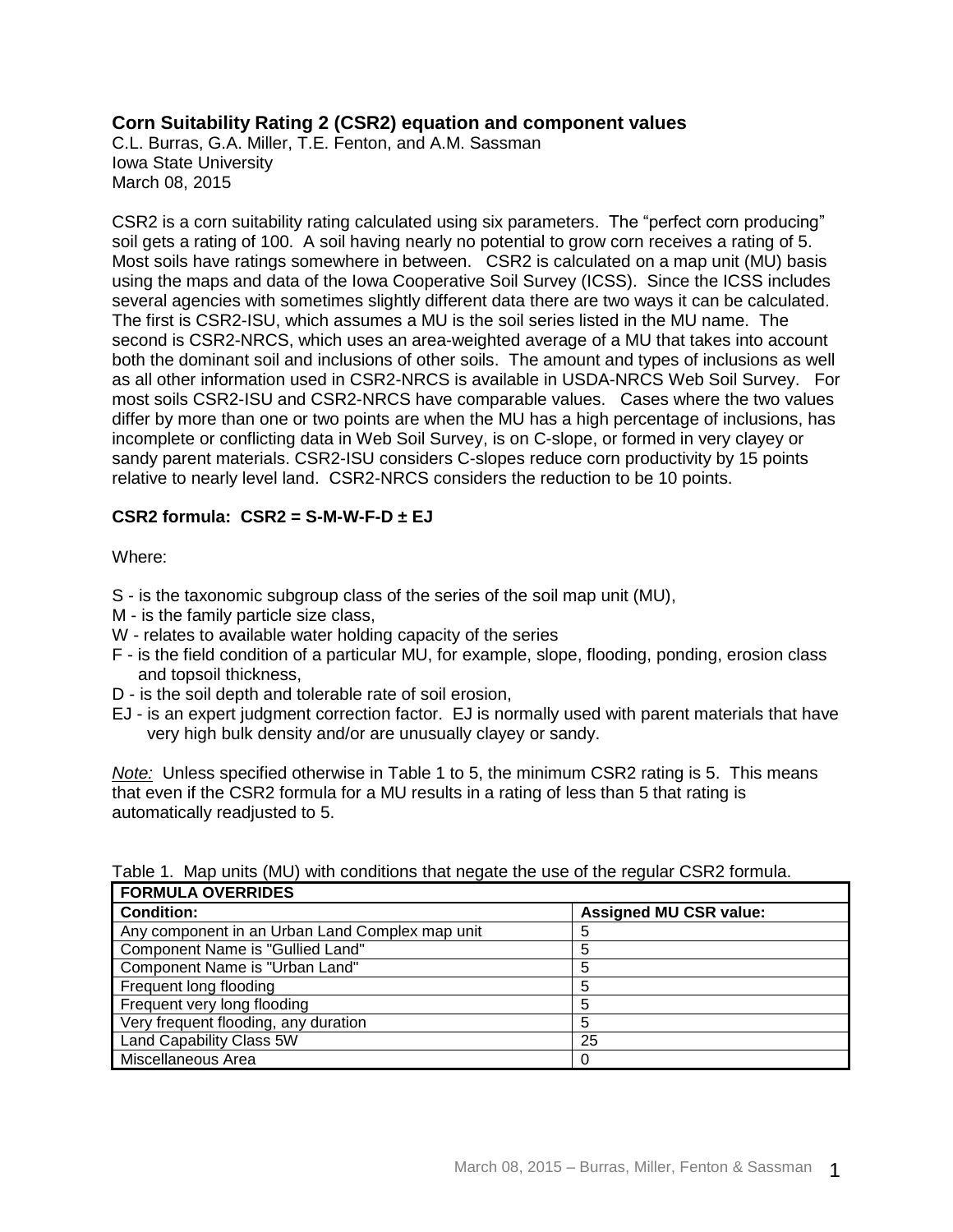## **Corn Suitability Rating 2 (CSR2) equation and component values**

C.L. Burras, G.A. Miller, T.E. Fenton, and A.M. Sassman Iowa State University March 08, 2015

CSR2 is a corn suitability rating calculated using six parameters. The "perfect corn producing" soil gets a rating of 100. A soil having nearly no potential to grow corn receives a rating of 5. Most soils have ratings somewhere in between. CSR2 is calculated on a map unit (MU) basis using the maps and data of the Iowa Cooperative Soil Survey (ICSS). Since the ICSS includes several agencies with sometimes slightly different data there are two ways it can be calculated. The first is CSR2-ISU, which assumes a MU is the soil series listed in the MU name. The second is CSR2-NRCS, which uses an area-weighted average of a MU that takes into account both the dominant soil and inclusions of other soils. The amount and types of inclusions as well as all other information used in CSR2-NRCS is available in USDA-NRCS Web Soil Survey. For most soils CSR2-ISU and CSR2-NRCS have comparable values. Cases where the two values differ by more than one or two points are when the MU has a high percentage of inclusions, has incomplete or conflicting data in Web Soil Survey, is on C-slope, or formed in very clayey or sandy parent materials. CSR2-ISU considers C-slopes reduce corn productivity by 15 points relative to nearly level land. CSR2-NRCS considers the reduction to be 10 points.

## **CSR2 formula: CSR2 = S-M-W-F-D ± EJ**

Where:

- S is the taxonomic subgroup class of the series of the soil map unit (MU),
- M is the family particle size class,
- W relates to available water holding capacity of the series
- F is the field condition of a particular MU, for example, slope, flooding, ponding, erosion class and topsoil thickness,
- D is the soil depth and tolerable rate of soil erosion,
- EJ is an expert judgment correction factor. EJ is normally used with parent materials that have very high bulk density and/or are unusually clayey or sandy.

*Note:* Unless specified otherwise in Table 1 to 5, the minimum CSR2 rating is 5. This means that even if the CSR2 formula for a MU results in a rating of less than 5 that rating is automatically readjusted to 5.

| FURMULA UVERRIDES                               |                               |  |  |
|-------------------------------------------------|-------------------------------|--|--|
| <b>Condition:</b>                               | <b>Assigned MU CSR value:</b> |  |  |
| Any component in an Urban Land Complex map unit | 5                             |  |  |
| Component Name is "Gullied Land"                | 5                             |  |  |
| Component Name is "Urban Land"                  | 5                             |  |  |
| Frequent long flooding                          | 5                             |  |  |
| Frequent very long flooding                     | 5                             |  |  |
| Very frequent flooding, any duration            | 5                             |  |  |
| Land Capability Class 5W                        | 25                            |  |  |
| Miscellaneous Area                              | 0                             |  |  |

Table 1. Map units (MU) with conditions that negate the use of the regular CSR2 formula. **FORMULA OVERRIDES**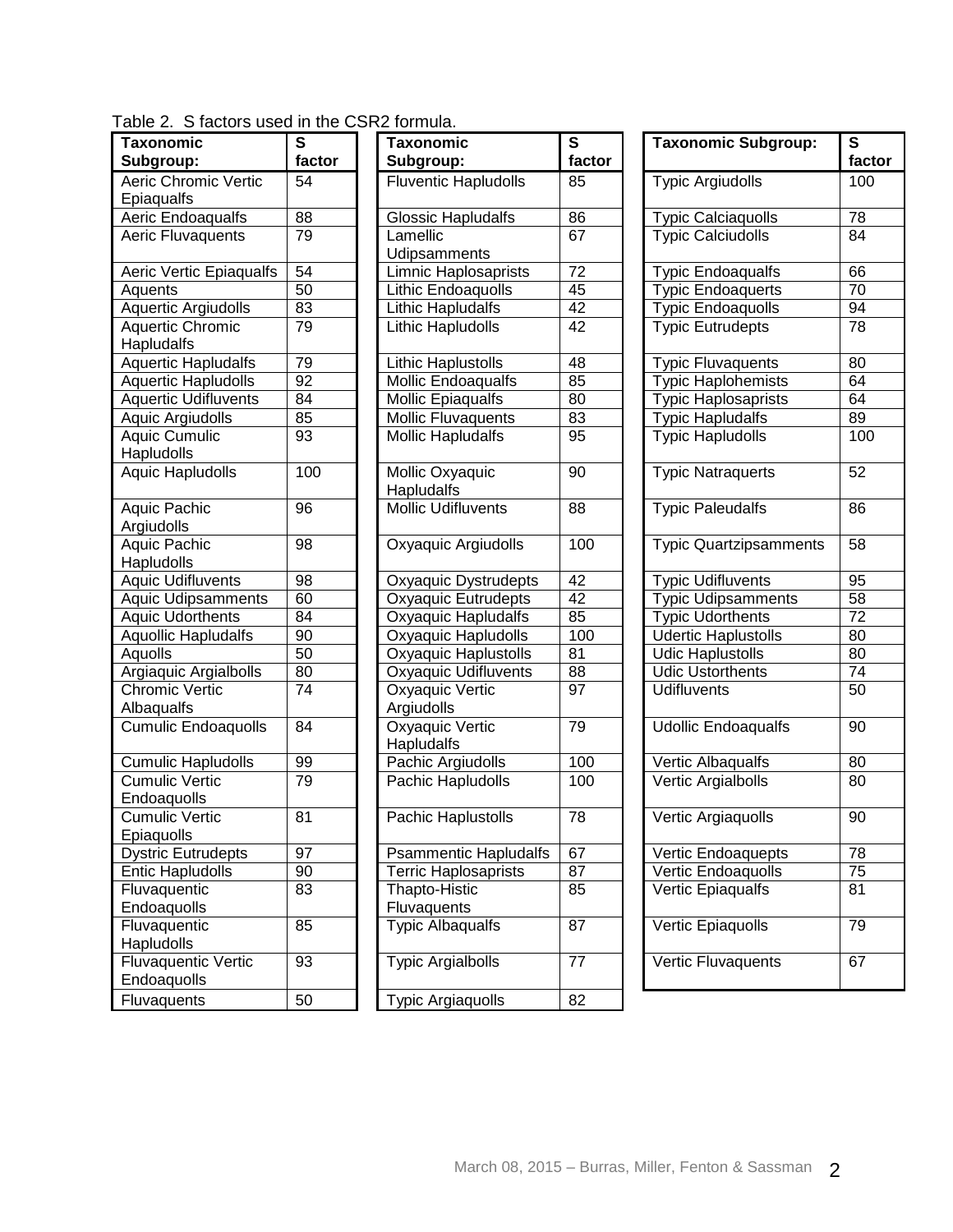|  | Table 2. S factors used in the CSR2 formula. |  |
|--|----------------------------------------------|--|
|  |                                              |  |

| <b>Taxonomic</b>            | S      | <b>Taxonomic</b>             | S  |
|-----------------------------|--------|------------------------------|----|
| Subgroup:                   | factor | Subgroup:                    | fa |
| <b>Aeric Chromic Vertic</b> | 54     | Fluventic Hapludolls         | 85 |
| Epiaqualfs                  |        |                              |    |
| Aeric Endoaqualfs           | 88     | <b>Glossic Hapludalfs</b>    | 86 |
| Aeric Fluvaquents           | 79     | Lamellic                     | 67 |
|                             |        | Udipsamments                 |    |
| Aeric Vertic Epiaqualfs     | 54     | Limnic Haplosaprists         | 72 |
| Aquents                     | 50     | Lithic Endoaquolls           | 45 |
| <b>Aquertic Argiudolls</b>  | 83     | Lithic Hapludalfs            | 42 |
| <b>Aquertic Chromic</b>     | 79     | Lithic Hapludolls            | 42 |
| Hapludalfs                  |        |                              |    |
| <b>Aquertic Hapludalfs</b>  | 79     | Lithic Haplustolls           | 48 |
| Aquertic Hapludolls         | 92     | Mollic Endoaqualfs           | 85 |
| <b>Aquertic Udifluvents</b> | 84     | <b>Mollic Epiaqualfs</b>     | 80 |
| Aquic Argiudolls            | 85     | <b>Mollic Fluvaquents</b>    | 83 |
| <b>Aquic Cumulic</b>        | 93     | <b>Mollic Hapludalfs</b>     | 95 |
| Hapludolls                  |        |                              |    |
| <b>Aquic Hapludolls</b>     | 100    | <b>Mollic Oxyaquic</b>       | 90 |
|                             |        | Hapludalfs                   |    |
| Aquic Pachic                | 96     | <b>Mollic Udifluvents</b>    | 88 |
| Argiudolls                  |        |                              |    |
| <b>Aquic Pachic</b>         | 98     | Oxyaquic Argiudolls          | 10 |
| Hapludolls                  |        |                              |    |
| <b>Aquic Udifluvents</b>    | 98     | Oxyaquic Dystrudepts         | 42 |
| <b>Aquic Udipsamments</b>   | 60     | Oxyaquic Eutrudepts          | 42 |
| <b>Aquic Udorthents</b>     | 84     | Oxyaquic Hapludalfs          | 85 |
| Aquollic Hapludalfs         | 90     | Oxyaquic Hapludolls          | 10 |
| Aquolls                     | 50     | Oxyaquic Haplustolls         | 81 |
| Argiaquic Argialbolls       | 80     | Oxyaquic Udifluvents         | 88 |
| <b>Chromic Vertic</b>       | 74     | Oxyaquic Vertic              | 97 |
| Albaqualfs                  |        | Argiudolls                   |    |
| <b>Cumulic Endoaquolls</b>  | 84     | Oxyaquic Vertic              | 79 |
|                             |        | Hapludalfs                   |    |
| <b>Cumulic Hapludolls</b>   | 99     | Pachic Argiudolls            | 10 |
| <b>Cumulic Vertic</b>       | 79     | Pachic Hapludolls            | 10 |
| Endoaquolls                 |        |                              |    |
| <b>Cumulic Vertic</b>       | 81     | Pachic Haplustolls           | 78 |
| Epiaquolls                  |        |                              |    |
| <b>Dystric Eutrudepts</b>   | 97     | <b>Psammentic Hapludalfs</b> | 67 |
| <b>Entic Hapludolls</b>     | 90     | <b>Terric Haplosaprists</b>  | 87 |
| Fluvaquentic                | 83     | Thapto-Histic                | 85 |
| Endoaquolls                 |        | Fluvaquents                  |    |
| Fluvaquentic                | 85     | <b>Typic Albaqualfs</b>      | 87 |
| Hapludolls                  |        |                              |    |
| <b>Fluvaquentic Vertic</b>  | 93     | <b>Typic Argialbolls</b>     | 77 |
| Endoaquolls                 |        |                              |    |
| Fluvaquents                 | 50     | <b>Typic Argiaquolls</b>     | 82 |

| Taxonomic                                 | $\overline{\mathbf{s}}$ | <b>Taxonomic</b>              | $\overline{\mathbf{s}}$ | <b>Taxonomic Subgroup:</b>    | $\overline{\mathbf{s}}$ |
|-------------------------------------------|-------------------------|-------------------------------|-------------------------|-------------------------------|-------------------------|
| Subgroup:                                 | factor                  | Subgroup:                     | factor                  |                               | fact                    |
| <b>Aeric Chromic Vertic</b><br>Epiaqualfs | 54                      | <b>Fluventic Hapludolls</b>   | 85                      | <b>Typic Argiudolls</b>       | 100                     |
| Aeric Endoaqualfs                         | 88                      | <b>Glossic Hapludalfs</b>     | 86                      | <b>Typic Calciaquolls</b>     | 78                      |
| Aeric Fluvaquents                         | 79                      | Lamellic                      | 67                      | <b>Typic Calciudolls</b>      | 84                      |
|                                           |                         | Udipsamments                  |                         |                               |                         |
| Aeric Vertic Epiaqualfs                   | 54                      | <b>Limnic Haplosaprists</b>   | 72                      | <b>Typic Endoaqualfs</b>      | 66                      |
| Aquents                                   | 50                      | Lithic Endoaquolls            | $\overline{45}$         | <b>Typic Endoaquerts</b>      | 70                      |
| <b>Aquertic Argiudolls</b>                | 83                      | <b>Lithic Hapludalfs</b>      | 42                      | <b>Typic Endoaquolls</b>      | 94                      |
| <b>Aquertic Chromic</b><br>Hapludalfs     | 79                      | Lithic Hapludolls             | 42                      | <b>Typic Eutrudepts</b>       | 78                      |
| <b>Aquertic Hapludalfs</b>                | 79                      | <b>Lithic Haplustolls</b>     | 48                      | <b>Typic Fluvaquents</b>      | 80                      |
| <b>Aquertic Hapludolls</b>                | 92                      | Mollic Endoaqualfs            | 85                      | <b>Typic Haplohemists</b>     | 64                      |
| <b>Aquertic Udifluvents</b>               | 84                      | <b>Mollic Epiaqualfs</b>      | 80                      | <b>Typic Haplosaprists</b>    | 64                      |
| Aquic Argiudolls                          | 85                      | Mollic Fluvaquents            | 83                      | <b>Typic Hapludalfs</b>       | 89                      |
| <b>Aquic Cumulic</b><br>Hapludolls        | 93                      | <b>Mollic Hapludalfs</b>      | 95                      | <b>Typic Hapludolls</b>       | 100                     |
| <b>Aquic Hapludolls</b>                   | 100                     | Mollic Oxyaquic<br>Hapludalfs | 90                      | <b>Typic Natraquerts</b>      | 52                      |
| Aquic Pachic<br>Argiudolls                | 96                      | Mollic Udifluvents            | 88                      | <b>Typic Paleudalfs</b>       | 86                      |
| Aquic Pachic<br>Hapludolls                | 98                      | Oxyaquic Argiudolls           | 100                     | <b>Typic Quartzipsamments</b> | 58                      |
| <b>Aquic Udifluvents</b>                  | 98                      | Oxyaquic Dystrudepts          | 42                      | <b>Typic Udifluvents</b>      | 95                      |
| <b>Aquic Udipsamments</b>                 | 60                      | <b>Oxyaquic Eutrudepts</b>    | 42                      | <b>Typic Udipsamments</b>     | 58                      |
| <b>Aquic Udorthents</b>                   | $\overline{84}$         | Oxyaquic Hapludalfs           | 85                      | <b>Typic Udorthents</b>       | 72                      |
| Aquollic Hapludalfs                       | 90                      | Oxyaquic Hapludolls           | 100                     | <b>Udertic Haplustolls</b>    | 80                      |
| Aquolls                                   | 50                      | <b>Oxyaquic Haplustolls</b>   | 81                      | <b>Udic Haplustolls</b>       | 80                      |
| Argiaquic Argialbolls                     | 80                      | <b>Oxyaquic Udifluvents</b>   | 88                      | <b>Udic Ustorthents</b>       | 74                      |
| <b>Chromic Vertic</b><br>Albaqualfs       | 74                      | Oxyaquic Vertic<br>Argiudolls | 97                      | <b>Udifluvents</b>            | 50                      |
| <b>Cumulic Endoaquolls</b>                | 84                      | Oxyaquic Vertic<br>Hapludalfs | 79                      | <b>Udollic Endoaqualfs</b>    | 90                      |
| <b>Cumulic Hapludolls</b>                 | 99                      | Pachic Argiudolls             | 100                     | Vertic Albaqualfs             | 80                      |
| <b>Cumulic Vertic</b><br>Endoaquolls      | 79                      | Pachic Hapludolls             | 100                     | Vertic Argialbolls            | 80                      |
| <b>Cumulic Vertic</b><br>Epiaquolls       | 81                      | Pachic Haplustolls            | 78                      | Vertic Argiaquolls            | 90                      |
| <b>Dystric Eutrudepts</b>                 | 97                      | <b>Psammentic Hapludalfs</b>  | 67                      | Vertic Endoaquepts            | 78                      |
| <b>Entic Hapludolls</b>                   | 90                      | <b>Terric Haplosaprists</b>   | 87                      | Vertic Endoaquolls            | 75                      |
| Fluvaquentic                              | 83                      | Thapto-Histic                 | 85                      | Vertic Epiaqualfs             | 81                      |
| Endoaquolls                               |                         | Fluvaquents                   |                         |                               |                         |
| Fluvaquentic                              | 85                      | <b>Typic Albaqualfs</b>       | 87                      | Vertic Epiaquolls             | 79                      |
| Hapludolls                                |                         |                               |                         |                               |                         |
| <b>Fluvaquentic Vertic</b><br>Endoaquolls | 93                      | <b>Typic Argialbolls</b>      | 77                      | Vertic Fluvaquents            | 67                      |
| Fluvaquents                               | 50                      | <b>Typic Argiaquolls</b>      | 82                      |                               |                         |

| $\overline{\mathsf{s}}$<br>factor | <b>Taxonomic Subgroup:</b>    | S<br>factor |
|-----------------------------------|-------------------------------|-------------|
| 85                                | <b>Typic Argiudolls</b>       | 100         |
| 86                                | <b>Typic Calciaquolls</b>     | 78          |
| 67                                | <b>Typic Calciudolls</b>      | 84          |
| 72                                | Typic Endoaqualfs             | 66          |
| 45                                | <b>Typic Endoaquerts</b>      | 70          |
| 42                                | <b>Typic Endoaquolls</b>      | 94          |
| $\overline{42}$                   | <b>Typic Eutrudepts</b>       | 78          |
| 48                                | <b>Typic Fluvaquents</b>      | 80          |
| 85                                | Typic Haplohemists            | 64          |
| 80                                | <b>Typic Haplosaprists</b>    | 64          |
| 83                                | <b>Typic Hapludalfs</b>       | 89          |
| 95                                | <b>Typic Hapludolls</b>       | 100         |
| 90                                | <b>Typic Natraquerts</b>      | 52          |
| 88                                | <b>Typic Paleudalfs</b>       | 86          |
| 100                               | <b>Typic Quartzipsamments</b> | 58          |
| 42                                | <b>Typic Udifluvents</b>      | 95          |
| 42                                | <b>Typic Udipsamments</b>     | 58          |
| $\overline{\text{85}}$            | <b>Typic Udorthents</b>       | 72          |
| 100                               | <b>Udertic Haplustolls</b>    | 80          |
| 81                                | <b>Udic Haplustolls</b>       | 80          |
| 88                                | <b>Udic Ustorthents</b>       | 74          |
| 97                                | <b>Udifluvents</b>            | 50          |
| 79                                | <b>Udollic Endoaqualfs</b>    | 90          |
| 100                               | Vertic Albaqualfs             | 80          |
| 100                               | Vertic Argialbolls            | 80          |
| 78                                | Vertic Argiaquolls            | 90          |
| 67                                | Vertic Endoaquepts            | 78          |
| 87                                | Vertic Endoaquolls            | 75          |
| 85                                | Vertic Epiaqualfs             | 81          |
| 87                                | Vertic Epiaquolls             | 79          |
| 77                                | Vertic Fluvaquents            | 67          |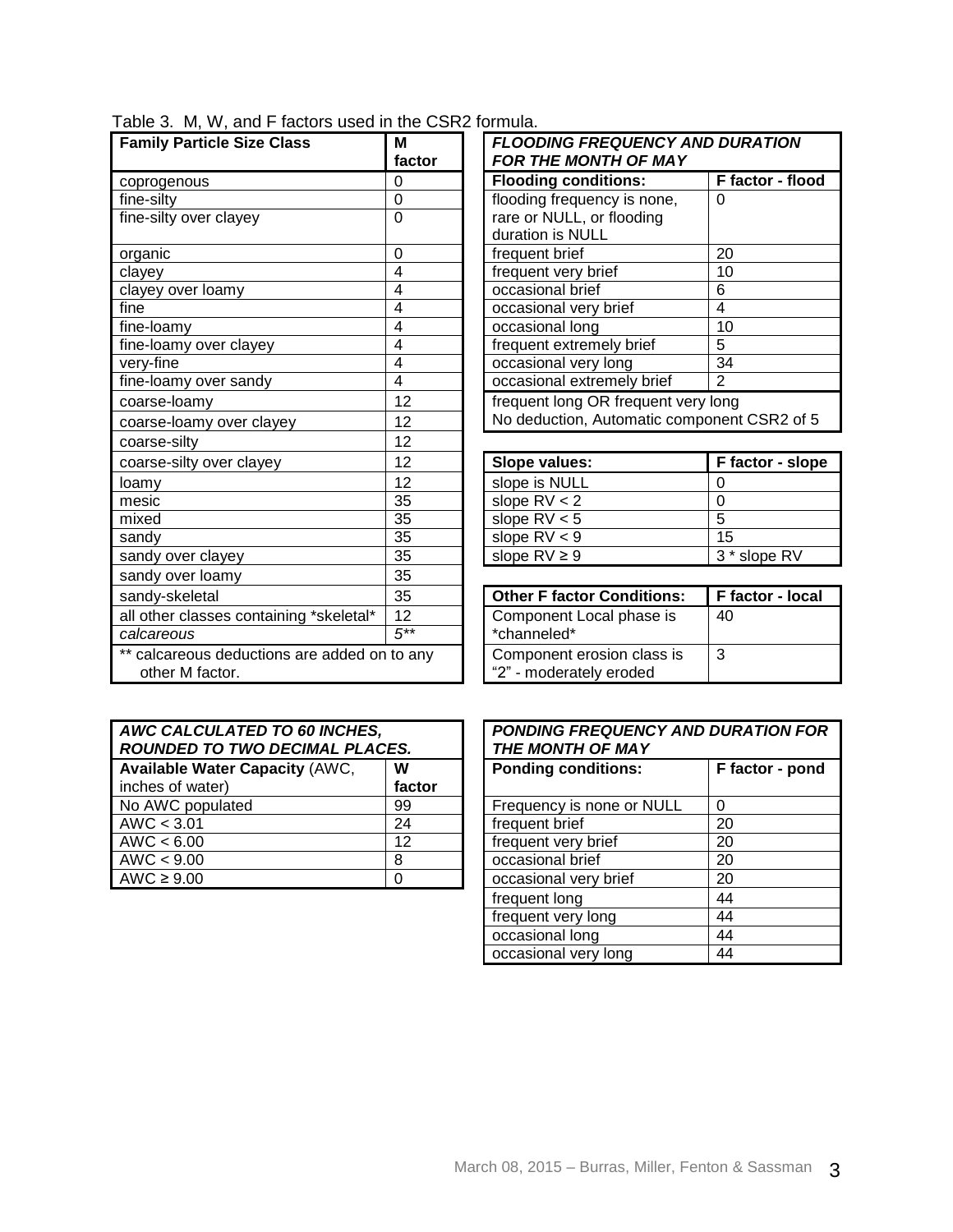|  |  |  |  |  |  |  | Table 3. M, W, and F factors used in the CSR2 formula. |
|--|--|--|--|--|--|--|--------------------------------------------------------|
|--|--|--|--|--|--|--|--------------------------------------------------------|

| <b>Family Particle Size Class</b>            | M<br>factor    | <b>FLOODING FREQUENCY AND DURATION</b><br><b>FOR THE MONTH OF MAY</b> |                         |  |
|----------------------------------------------|----------------|-----------------------------------------------------------------------|-------------------------|--|
| coprogenous                                  | $\Omega$       | <b>Flooding conditions:</b>                                           | F factor - flood        |  |
| fine-silty                                   | 0              | flooding frequency is none,                                           | $\Omega$                |  |
| fine-silty over clayey                       | $\overline{0}$ | rare or NULL, or flooding                                             |                         |  |
|                                              |                | duration is NULL                                                      |                         |  |
| organic                                      | 0              | frequent brief                                                        | 20                      |  |
| clayey                                       | 4              | frequent very brief                                                   | 10                      |  |
| clayey over loamy                            | 4              | occasional brief                                                      | 6                       |  |
| fine                                         | 4              | occasional very brief                                                 | $\overline{\mathbf{4}}$ |  |
| fine-loamy                                   | $\overline{4}$ | occasional long                                                       | 10                      |  |
| fine-loamy over clayey                       | 4              | frequent extremely brief                                              | 5                       |  |
| very-fine                                    | 4              | occasional very long                                                  | 34                      |  |
| fine-loamy over sandy                        | 4              | occasional extremely brief                                            | 2                       |  |
| coarse-loamy                                 | 12             | frequent long OR frequent very long                                   |                         |  |
| coarse-loamy over clayey                     | 12             | No deduction, Automatic component CSR2 of 5                           |                         |  |
| coarse-silty                                 | 12             |                                                                       |                         |  |
| coarse-silty over clayey                     | 12             | Slope values:                                                         | F factor - slope        |  |
| loamy                                        | 12             | slope is NULL                                                         | $\Omega$                |  |
| mesic                                        | 35             | slope $RV < 2$                                                        | $\overline{0}$          |  |
| mixed                                        | 35             | slope $RV < 5$                                                        | $\overline{5}$          |  |
| sandy                                        | 35             | slope $RV < 9$                                                        | 15                      |  |
| sandy over clayey                            | 35             | slope $RV \geq 9$                                                     | 3 * slope RV            |  |
| sandy over loamy                             | 35             |                                                                       |                         |  |
| sandy-skeletal                               | 35             | <b>Other F factor Conditions:</b>                                     | F factor - local        |  |
| all other classes containing *skeletal*      | 12             | Component Local phase is                                              | 40                      |  |
| calcareous                                   | $5***$         | *channeled*                                                           |                         |  |
| ** calcareous deductions are added on to any |                | Component erosion class is                                            | 3                       |  |
| other M factor.                              |                | "2" - moderately eroded                                               |                         |  |

| <b>FLOODING FREQUENCY AND DURATION</b><br><b>FOR THE MONTH OF MAY</b>              |                  |  |  |
|------------------------------------------------------------------------------------|------------------|--|--|
| <b>Flooding conditions:</b>                                                        | F factor - flood |  |  |
| flooding frequency is none,                                                        | O                |  |  |
| rare or NULL, or flooding                                                          |                  |  |  |
| duration is NULL                                                                   |                  |  |  |
| frequent brief                                                                     | 20               |  |  |
| frequent very brief                                                                | 10               |  |  |
| occasional brief                                                                   | 6                |  |  |
| occasional very brief                                                              | 4                |  |  |
| occasional long                                                                    | 10               |  |  |
| frequent extremely brief                                                           | 5                |  |  |
| occasional very long                                                               | 34               |  |  |
| occasional extremely brief<br>2                                                    |                  |  |  |
| frequent long OR frequent very long<br>No deduction, Automatic component CSR2 of 5 |                  |  |  |

| Slope values:     | F factor - slope |
|-------------------|------------------|
| slope is NULL     |                  |
| slope $RV < 2$    |                  |
| slope $RV < 5$    | 5                |
| slope $RV < 9$    | 15               |
| slope $RV \geq 9$ | 3 * slope RV     |

| <b>Other F factor Conditions:</b>                     | F factor - local |
|-------------------------------------------------------|------------------|
| Component Local phase is<br>*channeled*               | 40               |
| Component erosion class is<br>"2" - moderately eroded | 3                |

| AWC CALCULATED TO 60 INCHES,<br>ROUNDED TO TWO DECIMAL PLACES. |        |  | <b>PONDING FREQUENCY AND DUF</b><br>THE MONTH OF MAY |          |
|----------------------------------------------------------------|--------|--|------------------------------------------------------|----------|
| Available Water Capacity (AWC,                                 | W      |  | <b>Ponding conditions:</b>                           | Ff       |
| inches of water)                                               | factor |  |                                                      |          |
| No AWC populated                                               | 99     |  | Frequency is none or NULL                            | $\Omega$ |
| AWC < 3.01                                                     | 24     |  | frequent brief                                       | 20       |
| AWC < 6.00                                                     | 12     |  | frequent very brief                                  | 20       |
| AWC < 9.00                                                     | 8      |  | occasional brief                                     | 20       |
| AWC $\geq 9.00$                                                |        |  | occasional very brief                                | 20       |

| <b>PONDING FREQUENCY AND DURATION FOR</b><br>THE MONTH OF MAY |                 |  |  |
|---------------------------------------------------------------|-----------------|--|--|
| <b>Ponding conditions:</b>                                    | F factor - pond |  |  |
|                                                               |                 |  |  |
| Frequency is none or NULL                                     | ი               |  |  |
| frequent brief                                                | 20              |  |  |
| frequent very brief                                           | 20              |  |  |
| occasional brief                                              | 20              |  |  |
| occasional very brief                                         | 20              |  |  |
| frequent long                                                 | 44              |  |  |
| frequent very long                                            | 44              |  |  |
| occasional long                                               | 44              |  |  |
| occasional very long                                          | 44              |  |  |